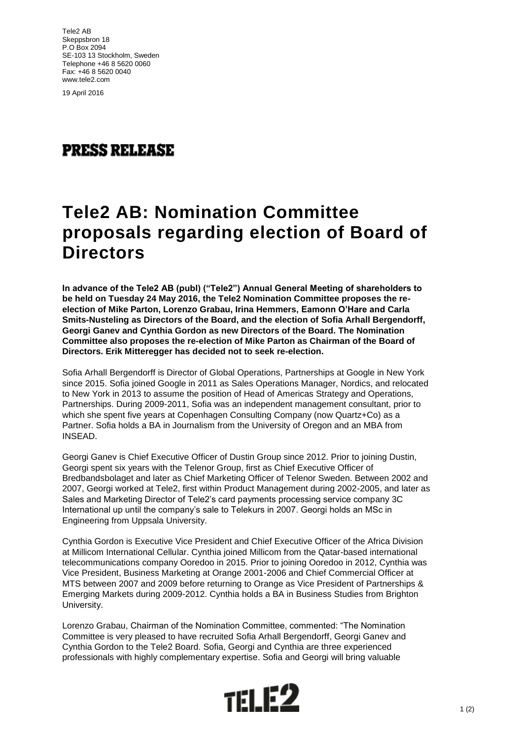Tele2 AB Skeppsbron 18 P.O Box 2094 SE-103 13 Stockholm, Sweden Telephone +46 8 5620 0060 Fax: +46 8 5620 0040 www.tele2.com

19 April 2016

## **PRESS RELEASE**

## **Tele2 AB: Nomination Committee proposals regarding election of Board of Directors**

**In advance of the Tele2 AB (publ) ("Tele2") Annual General Meeting of shareholders to be held on Tuesday 24 May 2016, the Tele2 Nomination Committee proposes the reelection of Mike Parton, Lorenzo Grabau, Irina Hemmers, Eamonn O'Hare and Carla Smits-Nusteling as Directors of the Board, and the election of Sofia Arhall Bergendorff, Georgi Ganev and Cynthia Gordon as new Directors of the Board. The Nomination Committee also proposes the re-election of Mike Parton as Chairman of the Board of Directors. Erik Mitteregger has decided not to seek re-election.**

Sofia Arhall Bergendorff is Director of Global Operations, Partnerships at Google in New York since 2015. Sofia joined Google in 2011 as Sales Operations Manager, Nordics, and relocated to New York in 2013 to assume the position of Head of Americas Strategy and Operations, Partnerships. During 2009-2011, Sofia was an independent management consultant, prior to which she spent five years at Copenhagen Consulting Company (now Quartz+Co) as a Partner. Sofia holds a BA in Journalism from the University of Oregon and an MBA from INSEAD.

Georgi Ganev is Chief Executive Officer of Dustin Group since 2012. Prior to joining Dustin, Georgi spent six years with the Telenor Group, first as Chief Executive Officer of Bredbandsbolaget and later as Chief Marketing Officer of Telenor Sweden. Between 2002 and 2007, Georgi worked at Tele2, first within Product Management during 2002-2005, and later as Sales and Marketing Director of Tele2's card payments processing service company 3C International up until the company's sale to Telekurs in 2007. Georgi holds an MSc in Engineering from Uppsala University.

Cynthia Gordon is Executive Vice President and Chief Executive Officer of the Africa Division at Millicom International Cellular. Cynthia joined Millicom from the Qatar-based international telecommunications company Ooredoo in 2015. Prior to joining Ooredoo in 2012, Cynthia was Vice President, Business Marketing at Orange 2001-2006 and Chief Commercial Officer at MTS between 2007 and 2009 before returning to Orange as Vice President of Partnerships & Emerging Markets during 2009-2012. Cynthia holds a BA in Business Studies from Brighton University.

Lorenzo Grabau, Chairman of the Nomination Committee, commented: "The Nomination Committee is very pleased to have recruited Sofia Arhall Bergendorff, Georgi Ganev and Cynthia Gordon to the Tele2 Board. Sofia, Georgi and Cynthia are three experienced professionals with highly complementary expertise. Sofia and Georgi will bring valuable